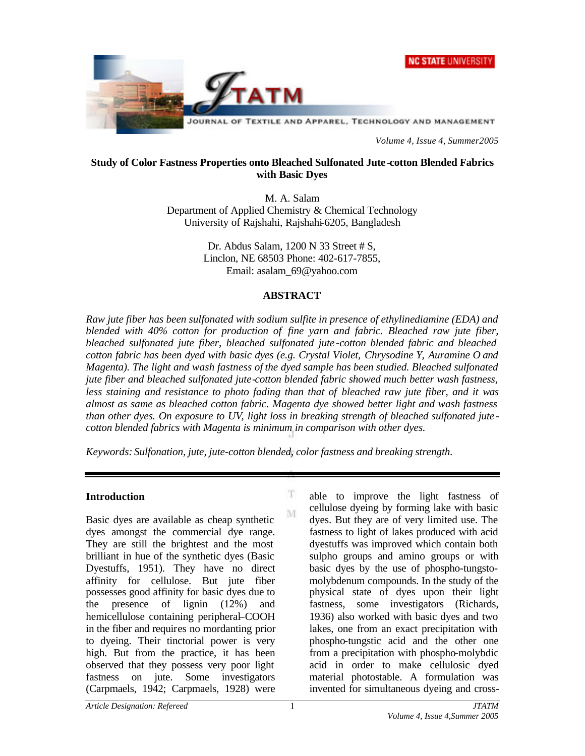



*Volume 4, Issue 4, Summer2005*

### **Study of Color Fastness Properties onto Bleached Sulfonated Jute -cotton Blended Fabrics with Basic Dyes**

M. A. Salam Department of Applied Chemistry & Chemical Technology University of Rajshahi, Rajshahi-6205, Bangladesh

> Dr. Abdus Salam, 1200 N 33 Street # S, Linclon, NE 68503 Phone: 402-617-7855, Email: asalam\_69@yahoo.com

#### **ABSTRACT**

*Raw jute fiber has been sulfonated with sodium sulfite in presence of ethylinediamine (EDA) and blended with 40% cotton for production of fine yarn and fabric. Bleached raw jute fiber, bleached sulfonated jute fiber, bleached sulfonated jute -cotton blended fabric and bleached cotton fabric has been dyed with basic dyes (e.g. Crystal Violet, Chrysodine Y, Auramine O and Magenta). The light and wash fastness of the dyed sample has been studied. Bleached sulfonated jute fiber and bleached sulfonated jute-cotton blended fabric showed much better wash fastness, less staining and resistance to photo fading than that of bleached raw jute fiber, and it was almost as same as bleached cotton fabric. Magenta dye showed better light and wash fastness than other dyes. On exposure to UV, light loss in breaking strength of bleached sulfonated jute cotton blended fabrics with Magenta is minimum in comparison with other dyes.*

 $\mathbf T$ 

M

*Keywords: Sulfonation, jute, jute-cotton blended, color fastness and breaking strength.*

#### **Introduction**

Basic dyes are available as cheap synthetic dyes amongst the commercial dye range. They are still the brightest and the most brilliant in hue of the synthetic dyes (Basic Dyestuffs, 1951). They have no direct affinity for cellulose. But jute fiber possesses good affinity for basic dyes due to the presence of lignin (12%) and hemicellulose containing peripheral–COOH in the fiber and requires no mordanting prior to dyeing. Their tinctorial power is very high. But from the practice, it has been observed that they possess very poor light fastness on jute. Some investigators (Carpmaels, 1942; Carpmaels, 1928) were

able to improve the light fastness of cellulose dyeing by forming lake with basic dyes. But they are of very limited use. The fastness to light of lakes produced with acid dyestuffs was improved which contain both sulpho groups and amino groups or with basic dyes by the use of phospho-tungstomolybdenum compounds. In the study of the physical state of dyes upon their light fastness, some investigators (Richards, 1936) also worked with basic dyes and two lakes, one from an exact precipitation with phospho-tungstic acid and the other one from a precipitation with phospho-molybdic acid in order to make cellulosic dyed material photostable. A formulation was invented for simultaneous dyeing and cross-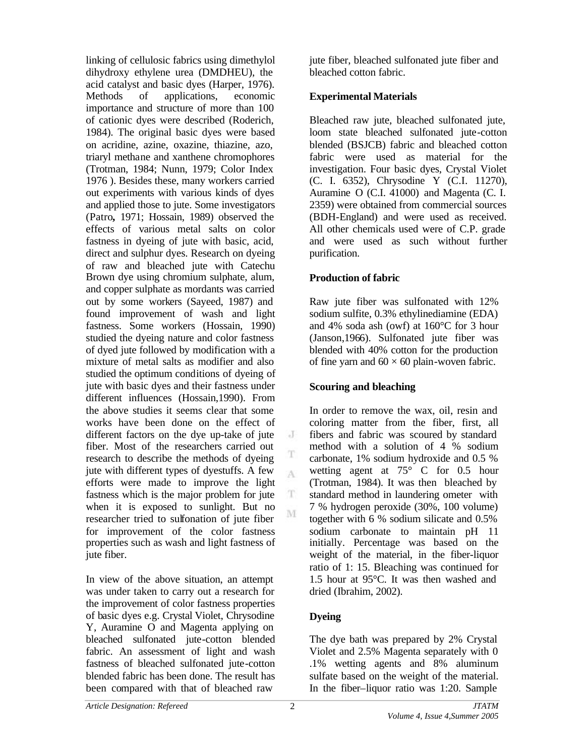linking of cellulosic fabrics using dimethylol dihydroxy ethylene urea (DMDHEU), the acid catalyst and basic dyes (Harper, 1976). Methods of applications, economic importance and structure of more than 100 of cationic dyes were described (Roderich, 1984). The original basic dyes were based on acridine, azine, oxazine, thiazine, azo, triaryl methane and xanthene chromophores (Trotman, 1984; Nunn, 1979; Color Index 1976 ). Besides these, many workers carried out experiments with various kinds of dyes and applied those to jute. Some investigators (Patro**,** 1971; Hossain, 1989) observed the effects of various metal salts on color fastness in dyeing of jute with basic, acid, direct and sulphur dyes. Research on dyeing of raw and bleached jute with Catechu Brown dye using chromium sulphate, alum, and copper sulphate as mordants was carried out by some workers (Sayeed, 1987) and found improvement of wash and light fastness. Some workers (Hossain, 1990) studied the dyeing nature and color fastness of dyed jute followed by modification with a mixture of metal salts as modifier and also studied the optimum conditions of dyeing of jute with basic dyes and their fastness under different influences (Hossain,1990). From the above studies it seems clear that some works have been done on the effect of different factors on the dye up-take of jute fiber. Most of the researchers carried out research to describe the methods of dyeing jute with different types of dyestuffs. A few efforts were made to improve the light fastness which is the major problem for jute when it is exposed to sunlight. But no researcher tried to sulfonation of jute fiber for improvement of the color fastness properties such as wash and light fastness of jute fiber.

In view of the above situation, an attempt was under taken to carry out a research for the improvement of color fastness properties of basic dyes e.g. Crystal Violet, Chrysodine Y, Auramine O and Magenta applying on bleached sulfonated jute-cotton blended fabric. An assessment of light and wash fastness of bleached sulfonated jute-cotton blended fabric has been done. The result has been compared with that of bleached raw

jute fiber, bleached sulfonated jute fiber and bleached cotton fabric.

### **Experimental Materials**

Bleached raw jute, bleached sulfonated jute, loom state bleached sulfonated jute-cotton blended (BSJCB) fabric and bleached cotton fabric were used as material for the investigation. Four basic dyes, Crystal Violet (C. I. 6352), Chrysodine Y (C.I. 11270), Auramine O (C.I. 41000) and Magenta (C. I. 2359) were obtained from commercial sources (BDH-England) and were used as received. All other chemicals used were of C.P. grade and were used as such without further purification.

### **Production of fabric**

Raw jute fiber was sulfonated with 12% sodium sulfite, 0.3% ethylinediamine (EDA) and 4% soda ash (owf) at 160°C for 3 hour (Janson,1966). Sulfonated jute fiber was blended with 40% cotton for the production of fine yarn and  $60 \times 60$  plain-woven fabric.

#### **Scouring and bleaching**

In order to remove the wax, oil, resin and coloring matter from the fiber, first, all fibers and fabric was scoured by standard method with a solution of 4 % sodium carbonate, 1% sodium hydroxide and 0.5 % wetting agent at 75° C for 0.5 hour (Trotman, 1984). It was then bleached by standard method in laundering ometer with 7 % hydrogen peroxide (30%, 100 volume) together with 6 % sodium silicate and 0.5% sodium carbonate to maintain pH 11 initially. Percentage was based on the weight of the material, in the fiber-liquor ratio of 1: 15. Bleaching was continued for 1.5 hour at 95°C. It was then washed and dried (Ibrahim, 2002).

## **Dyeing**

The dye bath was prepared by 2% Crystal Violet and 2.5% Magenta separately with 0 .1% wetting agents and 8% aluminum sulfate based on the weight of the material. In the fiber–liquor ratio was 1:20. Sample

J

T A

T. M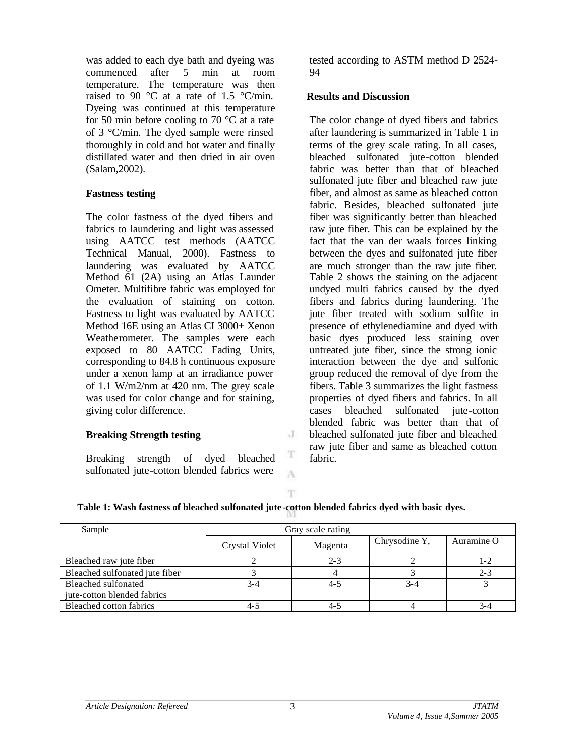was added to each dye bath and dyeing was commenced after 5 min at room temperature. The temperature was then raised to 90 °C at a rate of 1.5 °C/min. Dyeing was continued at this temperature for 50 min before cooling to 70  $\degree$ C at a rate of 3 °C/min. The dyed sample were rinsed thoroughly in cold and hot water and finally distillated water and then dried in air oven (Salam,2002).

## **Fastness testing**

The color fastness of the dyed fibers and fabrics to laundering and light was assessed using AATCC test methods (AATCC Technical Manual, 2000). Fastness to laundering was evaluated by AATCC Method 61 (2A) using an Atlas Launder Ometer. Multifibre fabric was employed for the evaluation of staining on cotton. Fastness to light was evaluated by AATCC Method 16E using an Atlas CI 3000+ Xenon Weatherometer. The samples were each exposed to 80 AATCC Fading Units, corresponding to 84.8 h continuous exposure under a xenon lamp at an irradiance power of 1.1 W/m2/nm at 420 nm. The grey scale was used for color change and for staining, giving color difference.

## **Breaking Strength testing**

Breaking strength of dyed bleached sulfonated jute-cotton blended fabrics were

tested according to ASTM method D 2524- 94

#### **Results and Discussion**

The color change of dyed fibers and fabrics after laundering is summarized in Table 1 in terms of the grey scale rating. In all cases, bleached sulfonated jute-cotton blended fabric was better than that of bleached sulfonated jute fiber and bleached raw jute fiber, and almost as same as bleached cotton fabric. Besides, bleached sulfonated jute fiber was significantly better than bleached raw jute fiber. This can be explained by the fact that the van der waals forces linking between the dyes and sulfonated jute fiber are much stronger than the raw jute fiber. Table 2 shows the staining on the adjacent undyed multi fabrics caused by the dyed fibers and fabrics during laundering. The jute fiber treated with sodium sulfite in presence of ethylenediamine and dyed with basic dyes produced less staining over untreated jute fiber, since the strong ionic interaction between the dye and sulfonic group reduced the removal of dye from the fibers. Table 3 summarizes the light fastness properties of dyed fibers and fabrics. In all cases bleached sulfonated jute-cotton blended fabric was better than that of bleached sulfonated jute fiber and bleached raw jute fiber and same as bleached cotton fabric.

T.

J

T A

## **Table 1: Wash fastness of bleached sulfonated jute -cotton blended fabrics dyed with basic dyes.**

| Sample                         | Gray scale rating     |         |               |            |
|--------------------------------|-----------------------|---------|---------------|------------|
|                                | <b>Crystal Violet</b> | Magenta | Chrysodine Y, | Auramine O |
| Bleached raw jute fiber        |                       | $2 - 3$ |               | 1-2        |
| Bleached sulfonated jute fiber |                       |         |               | $2 - 3$    |
| Bleached sulfonated            | 3-4                   | 4-5     | $3 - 4$       |            |
| jute-cotton blended fabrics    |                       |         |               |            |
| Bleached cotton fabrics        |                       | $4-$    |               | 3-4        |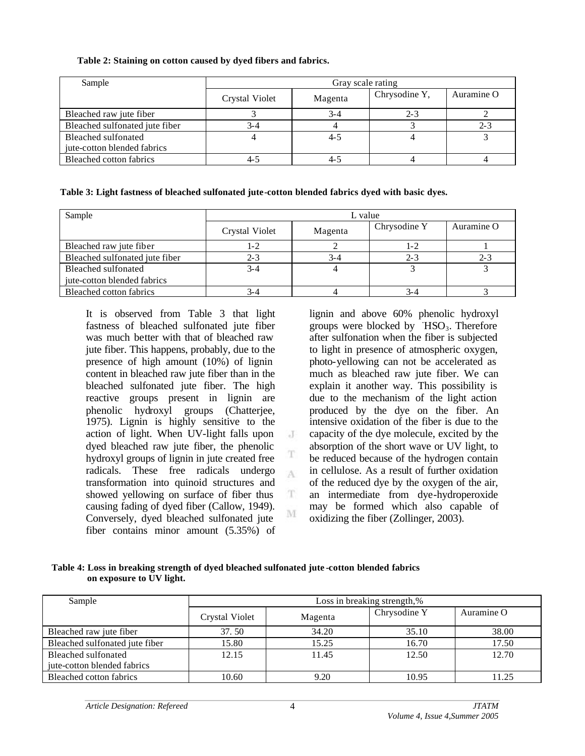**Table 2: Staining on cotton caused by dyed fibers and fabrics.**

| Sample                         | Gray scale rating |         |               |            |
|--------------------------------|-------------------|---------|---------------|------------|
|                                | Crystal Violet    | Magenta | Chrysodine Y, | Auramine O |
| Bleached raw jute fiber        |                   | 3-4     | 2-3           |            |
| Bleached sulfonated jute fiber | 3-4               |         |               | $2 - 3$    |
| Bleached sulfonated            |                   | $4 - 5$ |               |            |
| jute-cotton blended fabrics    |                   |         |               |            |
| Bleached cotton fabrics        |                   |         |               |            |

**Table 3: Light fastness of bleached sulfonated jute-cotton blended fabrics dyed with basic dyes.**

| Sample                         | L value        |         |              |            |
|--------------------------------|----------------|---------|--------------|------------|
|                                | Crystal Violet | Magenta | Chrysodine Y | Auramine O |
| Bleached raw jute fiber        | 1-2            |         | 1-2          |            |
| Bleached sulfonated jute fiber | $2 - 3$        | $3 - 4$ | $2 - 3$      | $2 - 3$    |
| Bleached sulfonated            | $3 - 4$        |         |              |            |
| jute-cotton blended fabrics    |                |         |              |            |
| Bleached cotton fabrics        | 3-4            |         | 3-4          |            |

J

T A

T

M

It is observed from Table 3 that light fastness of bleached sulfonated jute fiber was much better with that of bleached raw jute fiber. This happens, probably, due to the presence of high amount (10%) of lignin content in bleached raw jute fiber than in the bleached sulfonated jute fiber. The high reactive groups present in lignin are phenolic hydroxyl groups (Chatterjee, 1975). Lignin is highly sensitive to the action of light. When UV-light falls upon dyed bleached raw jute fiber, the phenolic hydroxyl groups of lignin in jute created free radicals. These free radicals undergo transformation into quinoid structures and showed yellowing on surface of fiber thus causing fading of dyed fiber (Callow, 1949). Conversely, dyed bleached sulfonated jute fiber contains minor amount (5.35%) of

lignin and above 60% phenolic hydroxyl groups were blocked by  $HSO_3$ . Therefore after sulfonation when the fiber is subjected to light in presence of atmospheric oxygen, photo-yellowing can not be accelerated as much as bleached raw jute fiber. We can explain it another way. This possibility is due to the mechanism of the light action produced by the dye on the fiber. An intensive oxidation of the fiber is due to the capacity of the dye molecule, excited by the absorption of the short wave or UV light, to be reduced because of the hydrogen contain in cellulose. As a result of further oxidation of the reduced dye by the oxygen of the air, an intermediate from dye-hydroperoxide may be formed which also capable of oxidizing the fiber (Zollinger, 2003).

**Table 4: Loss in breaking strength of dyed bleached sulfonated jute -cotton blended fabrics on exposure to UV light.**

| Sample                         | Loss in breaking strength,% |         |              |            |
|--------------------------------|-----------------------------|---------|--------------|------------|
|                                | Crystal Violet              | Magenta | Chrysodine Y | Auramine O |
| Bleached raw jute fiber        | 37.50                       | 34.20   | 35.10        | 38.00      |
| Bleached sulfonated jute fiber | 15.80                       | 15.25   | 16.70        | 17.50      |
| Bleached sulfonated            | 12.15                       | 11.45   | 12.50        | 12.70      |
| jute-cotton blended fabrics    |                             |         |              |            |
| Bleached cotton fabrics        | 10.60                       | 9.20    | 10.95        | 11.25      |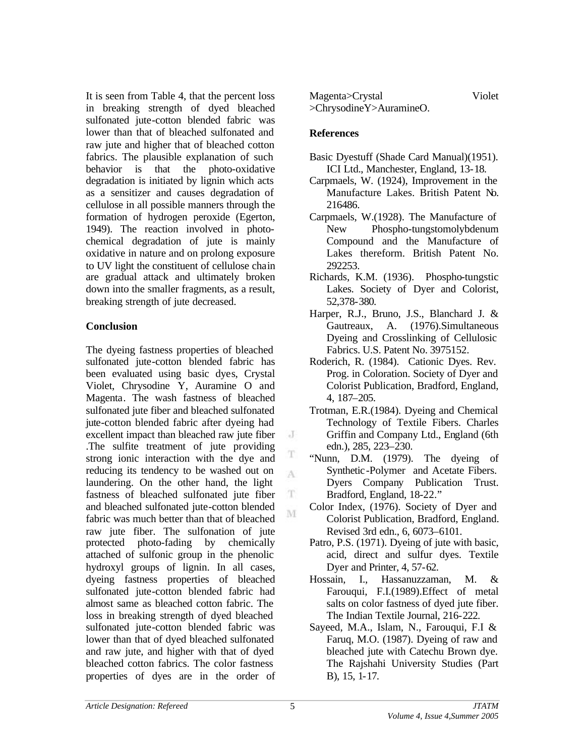It is seen from Table 4, that the percent loss in breaking strength of dyed bleached sulfonated jute-cotton blended fabric was lower than that of bleached sulfonated and raw jute and higher that of bleached cotton fabrics. The plausible explanation of such behavior is that the photo-oxidative degradation is initiated by lignin which acts as a sensitizer and causes degradation of cellulose in all possible manners through the formation of hydrogen peroxide (Egerton, 1949). The reaction involved in photochemical degradation of jute is mainly oxidative in nature and on prolong exposure to UV light the constituent of cellulose chain are gradual attack and ultimately broken down into the smaller fragments, as a result, breaking strength of jute decreased.

## **Conclusion**

The dyeing fastness properties of bleached sulfonated jute-cotton blended fabric has been evaluated using basic dyes, Crystal Violet, Chrysodine Y, Auramine O and Magenta. The wash fastness of bleached sulfonated jute fiber and bleached sulfonated jute-cotton blended fabric after dyeing had excellent impact than bleached raw jute fiber .The sulfite treatment of jute providing strong ionic interaction with the dye and reducing its tendency to be washed out on laundering. On the other hand, the light fastness of bleached sulfonated jute fiber and bleached sulfonated jute-cotton blended fabric was much better than that of bleached raw jute fiber. The sulfonation of jute protected photo-fading by chemically attached of sulfonic group in the phenolic hydroxyl groups of lignin. In all cases, dyeing fastness properties of bleached sulfonated jute-cotton blended fabric had almost same as bleached cotton fabric. The loss in breaking strength of dyed bleached sulfonated jute-cotton blended fabric was lower than that of dyed bleached sulfonated and raw jute, and higher with that of dyed bleached cotton fabrics. The color fastness properties of dyes are in the order of Magenta>Crystal Violet >ChrysodineY>AuramineO.

# **References**

- Basic Dyestuff (Shade Card Manual)(1951). ICI Ltd., Manchester, England, 13-18.
- Carpmaels, W. (1924), Improvement in the Manufacture Lakes. British Patent No. 216486.
- Carpmaels, W.(1928). The Manufacture of New Phospho-tungstomolybdenum Compound and the Manufacture of Lakes thereform. British Patent No. 292253.
- Richards, K.M. (1936). Phospho-tungstic Lakes. Society of Dyer and Colorist, 52,378-380.
- Harper, R.J., Bruno, J.S., Blanchard J. & Gautreaux, A. (1976).Simultaneous Dyeing and Crosslinking of Cellulosic Fabrics. U.S. Patent No. 3975152.
- Roderich, R. (1984). Cationic Dyes. Rev. Prog. in Coloration. Society of Dyer and Colorist Publication, Bradford, England, 4, 187–205.
- Trotman, E.R.(1984). Dyeing and Chemical Technology of Textile Fibers. Charles Griffin and Company Ltd., England (6th edn.), 285, 223–230.
- "Nunn, D.M. (1979). The dyeing of Synthetic-Polymer and Acetate Fibers. Dyers Company Publication Trust. Bradford, England, 18-22."
- Color Index, (1976). Society of Dyer and Colorist Publication, Bradford, England. Revised 3rd edn., 6, 6073–6101.
- Patro, P.S. (1971). Dyeing of jute with basic, acid, direct and sulfur dyes. Textile Dyer and Printer, 4, 57-62.
- Hossain, I., Hassanuzzaman, M. & Farouqui, F.I.(1989).Effect of metal salts on color fastness of dyed jute fiber. The Indian Textile Journal, 216-222.
- Sayeed, M.A., Islam, N., Farouqui, F.I & Faruq, M.O. (1987). Dyeing of raw and bleached jute with Catechu Brown dye. The Rajshahi University Studies (Part B), 15, 1-17.

J

T A

 $\mathbf T$ M